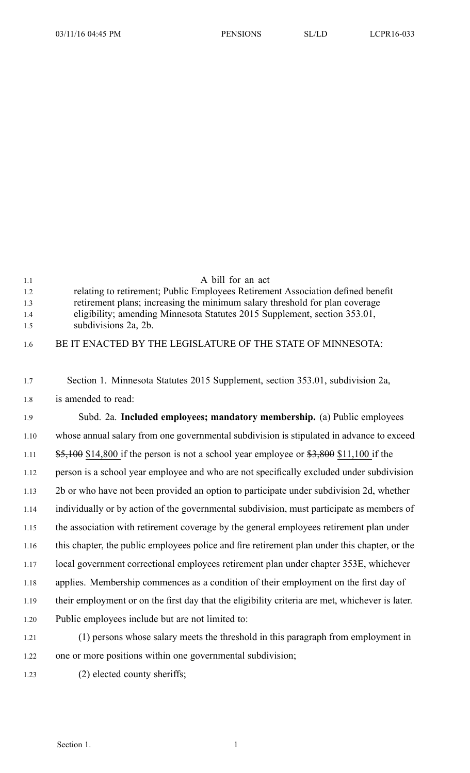| 1.2<br>1.3 | relating to retirement; Public Employees Retirement Association defined benefit<br>retirement plans; increasing the minimum salary threshold for plan coverage |
|------------|----------------------------------------------------------------------------------------------------------------------------------------------------------------|
| 1.4        | eligibility; amending Minnesota Statutes 2015 Supplement, section 353.01,                                                                                      |
| 1.5        | subdivisions 2a, 2b.                                                                                                                                           |
| 1.6        | BE IT ENACTED BY THE LEGISLATURE OF THE STATE OF MINNESOTA:                                                                                                    |
|            |                                                                                                                                                                |
| 1.7        | Section 1. Minnesota Statutes 2015 Supplement, section 353.01, subdivision 2a,                                                                                 |
| 1.8        | is amended to read:                                                                                                                                            |
| 1.9        | Subd. 2a. Included employees; mandatory membership. (a) Public employees                                                                                       |
| 1.10       | whose annual salary from one governmental subdivision is stipulated in advance to exceed                                                                       |
| 1.11       | $\frac{$5,100}{$14,800}$ if the person is not a school year employee or $\frac{$3,800}{$11,100}$ if the                                                        |
| 1.12       | person is a school year employee and who are not specifically excluded under subdivision                                                                       |
| 1.13       | 2b or who have not been provided an option to participate under subdivision 2d, whether                                                                        |
| 1.14       | individually or by action of the governmental subdivision, must participate as members of                                                                      |
| 1.15       | the association with retirement coverage by the general employees retirement plan under                                                                        |
| 1.16       | this chapter, the public employees police and fire retirement plan under this chapter, or the                                                                  |
| 1.17       | local government correctional employees retirement plan under chapter 353E, whichever                                                                          |
| 1.18       | applies. Membership commences as a condition of their employment on the first day of                                                                           |
|            |                                                                                                                                                                |

1.1 A bill for an act

1.19 their employment or on the first day that the eligibility criteria are met, whichever is later. 1.20 Public employees include but are not limited to:

- 1.21 (1) persons whose salary meets the threshold in this paragraph from employment in 1.22 one or more positions within one governmental subdivision;
- 1.23 (2) elected county sheriffs;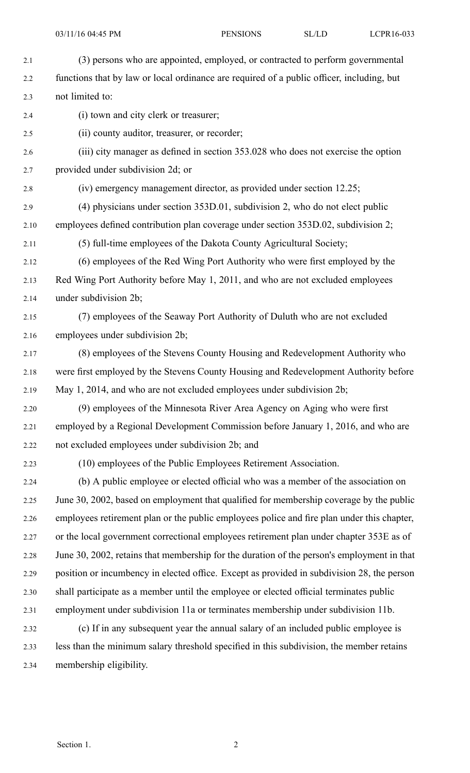2.2 functions that by law or local ordinance are required of <sup>a</sup> public officer, including, but 2.3 not limited to:

2.4 (i) town and city clerk or treasurer;

2.5 (ii) county auditor, treasurer, or recorder;

2.6 (iii) city manager as defined in section 353.028 who does not exercise the option 2.7 provided under subdivision 2d; or

- 2.8 (iv) emergency managemen<sup>t</sup> director, as provided under section 12.25;
- 2.9 (4) physicians under section 353D.01, subdivision 2, who do not elect public
- 2.10 employees defined contribution plan coverage under section 353D.02, subdivision 2;

2.11 (5) full-time employees of the Dakota County Agricultural Society;

- 2.12 (6) employees of the Red Wing Port Authority who were first employed by the 2.13 Red Wing Port Authority before May 1, 2011, and who are not excluded employees 2.14 under subdivision 2b;
- 2.15 (7) employees of the Seaway Port Authority of Duluth who are not excluded 2.16 employees under subdivision 2b;
- 2.17 (8) employees of the Stevens County Housing and Redevelopment Authority who 2.18 were first employed by the Stevens County Housing and Redevelopment Authority before 2.19 May 1, 2014, and who are not excluded employees under subdivision 2b;
- 2.20 (9) employees of the Minnesota River Area Agency on Aging who were first 2.21 employed by <sup>a</sup> Regional Development Commission before January 1, 2016, and who are 2.22 not excluded employees under subdivision 2b; and

2.23 (10) employees of the Public Employees Retirement Association.

- 2.24 (b) A public employee or elected official who was <sup>a</sup> member of the association on 2.25 June 30, 2002, based on employment that qualified for membership coverage by the public 2.26 employees retirement plan or the public employees police and fire plan under this chapter, 2.27 or the local governmen<sup>t</sup> correctional employees retirement plan under chapter 353E as of 2.28 June 30, 2002, retains that membership for the duration of the person's employment in that 2.29 position or incumbency in elected office. Except as provided in subdivision 28, the person 2.30 shall participate as <sup>a</sup> member until the employee or elected official terminates public 2.31 employment under subdivision 11a or terminates membership under subdivision 11b. 2.32 (c) If in any subsequent year the annual salary of an included public employee is 2.33 less than the minimum salary threshold specified in this subdivision, the member retains
- 2.34 membership eligibility.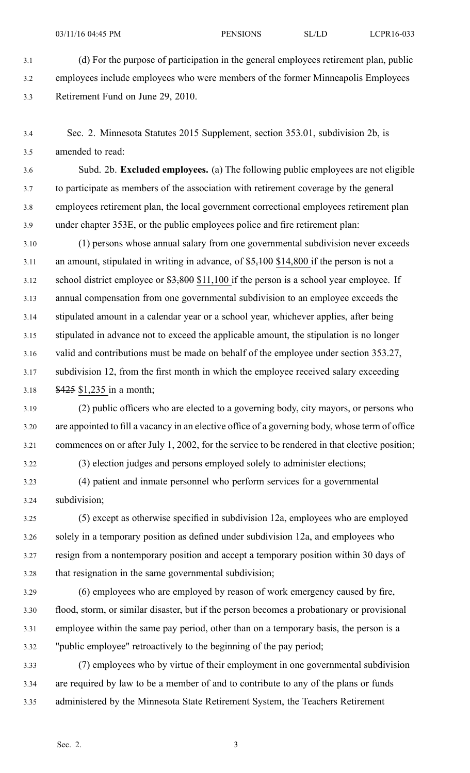3.1 (d) For the purpose of participation in the general employees retirement plan, public 3.2 employees include employees who were members of the former Minneapolis Employees 3.3 Retirement Fund on June 29, 2010.

3.4 Sec. 2. Minnesota Statutes 2015 Supplement, section 353.01, subdivision 2b, is 3.5 amended to read:

3.6 Subd. 2b. **Excluded employees.** (a) The following public employees are not eligible 3.7 to participate as members of the association with retirement coverage by the general 3.8 employees retirement plan, the local governmen<sup>t</sup> correctional employees retirement plan 3.9 under chapter 353E, or the public employees police and fire retirement plan:

3.10 (1) persons whose annual salary from one governmental subdivision never exceeds 3.11 an amount, stipulated in writing in advance, of \$5,100 \$14,800 if the person is not <sup>a</sup> 3.12 school district employee or  $$3,800$  \$11,100 if the person is a school year employee. If 3.13 annual compensation from one governmental subdivision to an employee exceeds the 3.14 stipulated amount in <sup>a</sup> calendar year or <sup>a</sup> school year, whichever applies, after being 3.15 stipulated in advance not to exceed the applicable amount, the stipulation is no longer 3.16 valid and contributions must be made on behalf of the employee under section 353.27, 3.17 subdivision 12, from the first month in which the employee received salary exceeding 3.18 \$425 \$1,235 in <sup>a</sup> month;

3.19 (2) public officers who are elected to <sup>a</sup> governing body, city mayors, or persons who 3.20 are appointed to fill <sup>a</sup> vacancy in an elective office of <sup>a</sup> governing body, whose term of office 3.21 commences on or after July 1, 2002, for the service to be rendered in that elective position;

3.22 (3) election judges and persons employed solely to administer elections;

3.23 (4) patient and inmate personnel who perform services for <sup>a</sup> governmental 3.24 subdivision;

3.25 (5) excep<sup>t</sup> as otherwise specified in subdivision 12a, employees who are employed 3.26 solely in <sup>a</sup> temporary position as defined under subdivision 12a, and employees who 3.27 resign from <sup>a</sup> nontemporary position and accep<sup>t</sup> <sup>a</sup> temporary position within 30 days of 3.28 that resignation in the same governmental subdivision;

- 3.29 (6) employees who are employed by reason of work emergency caused by fire, 3.30 flood, storm, or similar disaster, but if the person becomes <sup>a</sup> probationary or provisional 3.31 employee within the same pay period, other than on <sup>a</sup> temporary basis, the person is <sup>a</sup> 3.32 "public employee" retroactively to the beginning of the pay period;
- 3.33 (7) employees who by virtue of their employment in one governmental subdivision 3.34 are required by law to be <sup>a</sup> member of and to contribute to any of the plans or funds 3.35 administered by the Minnesota State Retirement System, the Teachers Retirement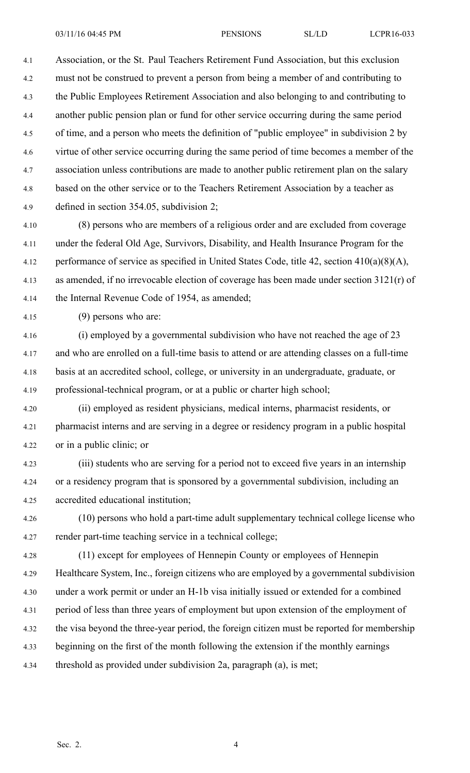03/11/16 04:45 PM PENSIONS SL/LD LCPR16-033

4.1 Association, or the St. Paul Teachers Retirement Fund Association, but this exclusion 4.2 must not be construed to preven<sup>t</sup> <sup>a</sup> person from being <sup>a</sup> member of and contributing to 4.3 the Public Employees Retirement Association and also belonging to and contributing to 4.4 another public pension plan or fund for other service occurring during the same period 4.5 of time, and <sup>a</sup> person who meets the definition of "public employee" in subdivision 2 by 4.6 virtue of other service occurring during the same period of time becomes <sup>a</sup> member of the 4.7 association unless contributions are made to another public retirement plan on the salary 4.8 based on the other service or to the Teachers Retirement Association by <sup>a</sup> teacher as 4.9 defined in section 354.05, subdivision 2;

4.10 (8) persons who are members of <sup>a</sup> religious order and are excluded from coverage 4.11 under the federal Old Age, Survivors, Disability, and Health Insurance Program for the 4.12 performance of service as specified in United States Code, title 42, section 410(a)(8)(A), 4.13 as amended, if no irrevocable election of coverage has been made under section 3121(r) of 4.14 the Internal Revenue Code of 1954, as amended;

4.15 (9) persons who are:

4.16 (i) employed by <sup>a</sup> governmental subdivision who have not reached the age of 23 4.17 and who are enrolled on <sup>a</sup> full-time basis to attend or are attending classes on <sup>a</sup> full-time 4.18 basis at an accredited school, college, or university in an undergraduate, graduate, or 4.19 professional-technical program, or at <sup>a</sup> public or charter high school;

4.20 (ii) employed as resident physicians, medical interns, pharmacist residents, or 4.21 pharmacist interns and are serving in <sup>a</sup> degree or residency program in <sup>a</sup> public hospital 4.22 or in <sup>a</sup> public clinic; or

4.23 (iii) students who are serving for <sup>a</sup> period not to exceed five years in an internship 4.24 or <sup>a</sup> residency program that is sponsored by <sup>a</sup> governmental subdivision, including an 4.25 accredited educational institution;

4.26 (10) persons who hold <sup>a</sup> part-time adult supplementary technical college license who 4.27 render part-time teaching service in <sup>a</sup> technical college;

4.28 (11) excep<sup>t</sup> for employees of Hennepin County or employees of Hennepin 4.29 Healthcare System, Inc., foreign citizens who are employed by <sup>a</sup> governmental subdivision 4.30 under <sup>a</sup> work permit or under an H-1b visa initially issued or extended for <sup>a</sup> combined 4.31 period of less than three years of employment but upon extension of the employment of 4.32 the visa beyond the three-year period, the foreign citizen must be reported for membership 4.33 beginning on the first of the month following the extension if the monthly earnings 4.34 threshold as provided under subdivision 2a, paragraph (a), is met;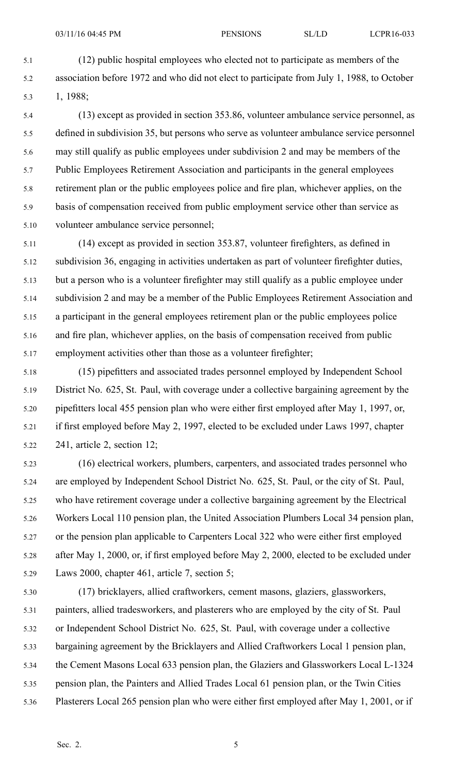5.1 (12) public hospital employees who elected not to participate as members of the 5.2 association before 1972 and who did not elect to participate from July 1, 1988, to October 5.3 1, 1988;

5.4 (13) excep<sup>t</sup> as provided in section 353.86, volunteer ambulance service personnel, as 5.5 defined in subdivision 35, but persons who serve as volunteer ambulance service personnel 5.6 may still qualify as public employees under subdivision 2 and may be members of the 5.7 Public Employees Retirement Association and participants in the general employees 5.8 retirement plan or the public employees police and fire plan, whichever applies, on the 5.9 basis of compensation received from public employment service other than service as 5.10 volunteer ambulance service personnel;

5.11 (14) excep<sup>t</sup> as provided in section 353.87, volunteer firefighters, as defined in 5.12 subdivision 36, engaging in activities undertaken as par<sup>t</sup> of volunteer firefighter duties, 5.13 but <sup>a</sup> person who is <sup>a</sup> volunteer firefighter may still qualify as <sup>a</sup> public employee under 5.14 subdivision 2 and may be <sup>a</sup> member of the Public Employees Retirement Association and 5.15 <sup>a</sup> participant in the general employees retirement plan or the public employees police 5.16 and fire plan, whichever applies, on the basis of compensation received from public 5.17 employment activities other than those as <sup>a</sup> volunteer firefighter;

5.18 (15) pipefitters and associated trades personnel employed by Independent School 5.19 District No. 625, St. Paul, with coverage under <sup>a</sup> collective bargaining agreemen<sup>t</sup> by the 5.20 pipefitters local 455 pension plan who were either first employed after May 1, 1997, or, 5.21 if first employed before May 2, 1997, elected to be excluded under Laws 1997, chapter 5.22 241, article 2, section 12;

5.23 (16) electrical workers, plumbers, carpenters, and associated trades personnel who 5.24 are employed by Independent School District No. 625, St. Paul, or the city of St. Paul, 5.25 who have retirement coverage under <sup>a</sup> collective bargaining agreemen<sup>t</sup> by the Electrical 5.26 Workers Local 110 pension plan, the United Association Plumbers Local 34 pension plan, 5.27 or the pension plan applicable to Carpenters Local 322 who were either first employed 5.28 after May 1, 2000, or, if first employed before May 2, 2000, elected to be excluded under 5.29 Laws 2000, chapter 461, article 7, section 5;

5.30 (17) bricklayers, allied craftworkers, cement masons, glaziers, glassworkers, 5.31 painters, allied tradesworkers, and plasterers who are employed by the city of St. Paul 5.32 or Independent School District No. 625, St. Paul, with coverage under <sup>a</sup> collective 5.33 bargaining agreemen<sup>t</sup> by the Bricklayers and Allied Craftworkers Local 1 pension plan, 5.34 the Cement Masons Local 633 pension plan, the Glaziers and Glassworkers Local L-1324 5.35 pension plan, the Painters and Allied Trades Local 61 pension plan, or the Twin Cities 5.36 Plasterers Local 265 pension plan who were either first employed after May 1, 2001, or if